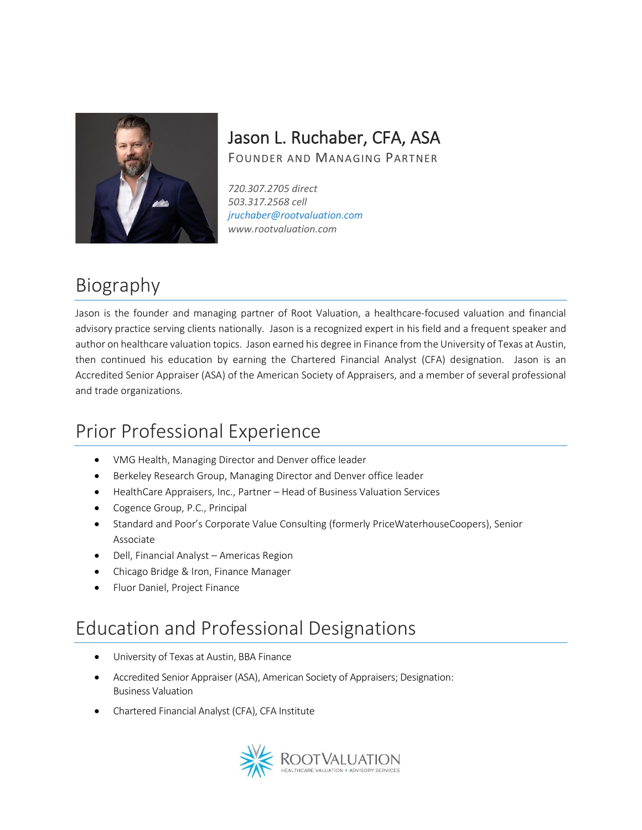#### Jason L. Ruchaber, CFA, ASA

FOUNDER AND MANAGING PARTNER

*720.307.2705 direct 503.317.2568 cell jruchaber@rootvaluation.com www.rootvaluation.com*

# Biography

Jason is the founder and managing partner of Root Valuation, a healthcare-focused valuation and financial advisory practice serving clients nationally. Jason is a recognized expert in his field and a frequent speaker and author on healthcare valuation topics. Jason earned his degree in Finance from the University of Texas at Austin, then continued his education by earning the Chartered Financial Analyst (CFA) designation. Jason is an Accredited Senior Appraiser (ASA) of the American Society of Appraisers, and a member of several professional and trade organizations.

## Prior Professional Experience

- VMG Health, Managing Director and Denver office leader
- Berkeley Research Group, Managing Director and Denver office leader
- HealthCare Appraisers, Inc., Partner Head of Business Valuation Services
- Cogence Group, P.C., Principal
- Standard and Poor's Corporate Value Consulting (formerly PriceWaterhouseCoopers), Senior Associate
- Dell, Financial Analyst Americas Region
- Chicago Bridge & Iron, Finance Manager
- Fluor Daniel, Project Finance

# Education and Professional Designations

- University of Texas at Austin, BBA Finance
- Accredited Senior Appraiser (ASA), American Society of Appraisers; Designation: Business Valuation
- Chartered Financial Analyst (CFA), CFA Institute

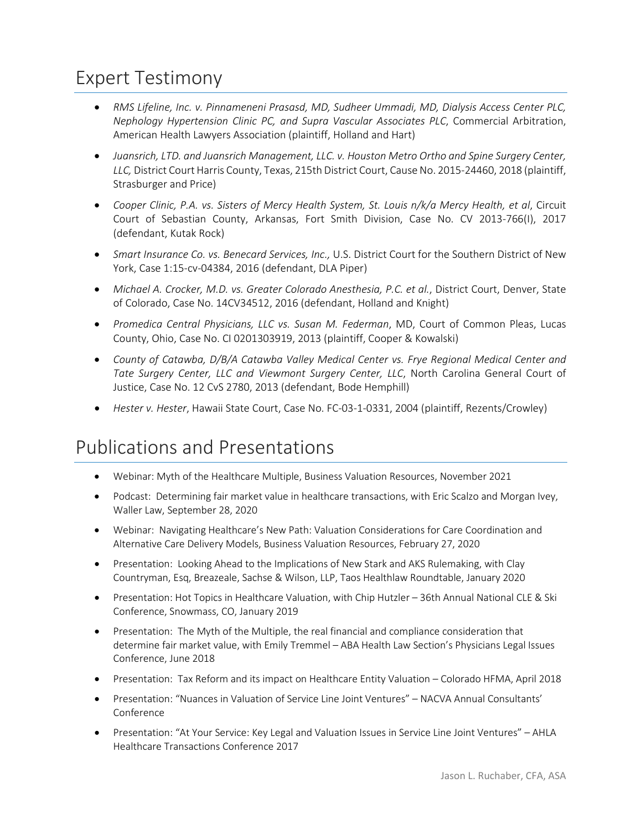## Expert Testimony

- *RMS Lifeline, Inc. v. Pinnameneni Prasasd, MD, Sudheer Ummadi, MD, Dialysis Access Center PLC, Nephology Hypertension Clinic PC, and Supra Vascular Associates PLC*, Commercial Arbitration, American Health Lawyers Association (plaintiff, Holland and Hart)
- *Juansrich, LTD. and Juansrich Management, LLC. v. Houston Metro Ortho and Spine Surgery Center, LLC,* District Court Harris County, Texas, 215th District Court, Cause No. 2015-24460, 2018 (plaintiff, Strasburger and Price)
- *Cooper Clinic, P.A. vs. Sisters of Mercy Health System, St. Louis n/k/a Mercy Health, et al*, Circuit Court of Sebastian County, Arkansas, Fort Smith Division, Case No. CV 2013-766(I), 2017 (defendant, Kutak Rock)
- *Smart Insurance Co. vs. Benecard Services, Inc.,* U.S. District Court for the Southern District of New York, Case 1:15-cv-04384, 2016 (defendant, DLA Piper)
- *Michael A. Crocker, M.D. vs. Greater Colorado Anesthesia, P.C. et al.*, District Court, Denver, State of Colorado, Case No. 14CV34512, 2016 (defendant, Holland and Knight)
- *Promedica Central Physicians, LLC vs. Susan M. Federman*, MD, Court of Common Pleas, Lucas County, Ohio, Case No. CI 0201303919, 2013 (plaintiff, Cooper & Kowalski)
- *County of Catawba, D/B/A Catawba Valley Medical Center vs. Frye Regional Medical Center and Tate Surgery Center, LLC and Viewmont Surgery Center, LLC*, North Carolina General Court of Justice, Case No. 12 CvS 2780, 2013 (defendant, Bode Hemphill)
- *Hester v. Hester*, Hawaii State Court, Case No. FC-03-1-0331, 2004 (plaintiff, Rezents/Crowley)

#### Publications and Presentations

- Webinar: Myth of the Healthcare Multiple, Business Valuation Resources, November 2021
- Podcast: Determining fair market value in healthcare transactions, with Eric Scalzo and Morgan Ivey, Waller Law, September 28, 2020
- Webinar: Navigating Healthcare's New Path: Valuation Considerations for Care Coordination and Alternative Care Delivery Models, Business Valuation Resources, February 27, 2020
- Presentation: Looking Ahead to the Implications of New Stark and AKS Rulemaking, with Clay Countryman, Esq, Breazeale, Sachse & Wilson, LLP, Taos Healthlaw Roundtable, January 2020
- Presentation: Hot Topics in Healthcare Valuation, with Chip Hutzler 36th Annual National CLE & Ski Conference, Snowmass, CO, January 2019
- Presentation: The Myth of the Multiple, the real financial and compliance consideration that determine fair market value, with Emily Tremmel – ABA Health Law Section's Physicians Legal Issues Conference, June 2018
- Presentation: Tax Reform and its impact on Healthcare Entity Valuation Colorado HFMA, April 2018
- Presentation: "Nuances in Valuation of Service Line Joint Ventures" NACVA Annual Consultants' Conference
- Presentation: "At Your Service: Key Legal and Valuation Issues in Service Line Joint Ventures" AHLA Healthcare Transactions Conference 2017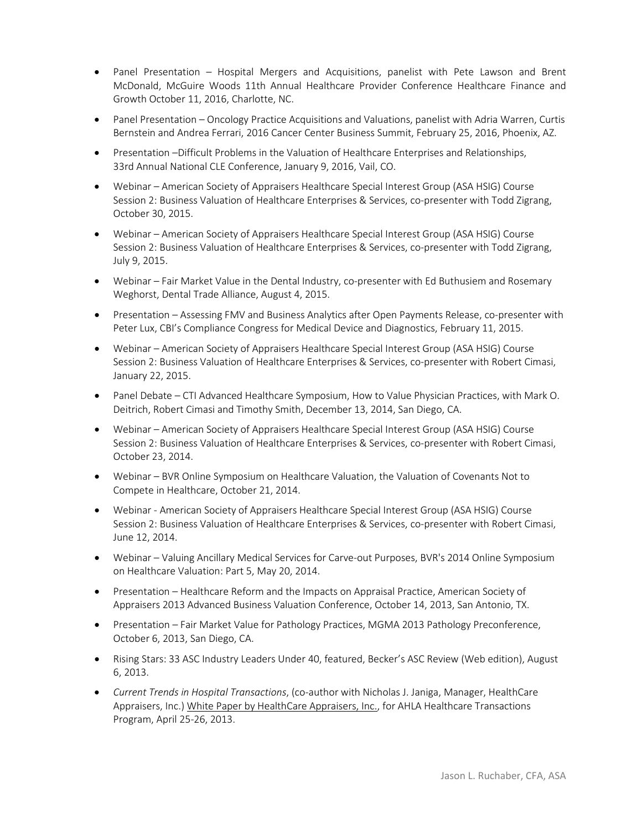- Panel Presentation Hospital Mergers and Acquisitions, panelist with Pete Lawson and Brent McDonald, McGuire Woods 11th Annual Healthcare Provider Conference Healthcare Finance and Growth October 11, 2016, Charlotte, NC.
- Panel Presentation Oncology Practice Acquisitions and Valuations, panelist with Adria Warren, Curtis Bernstein and Andrea Ferrari, 2016 Cancer Center Business Summit, February 25, 2016, Phoenix, AZ.
- Presentation –Difficult Problems in the Valuation of Healthcare Enterprises and Relationships, 33rd Annual National CLE Conference, January 9, 2016, Vail, CO.
- Webinar American Society of Appraisers Healthcare Special Interest Group (ASA HSIG) Course Session 2: Business Valuation of Healthcare Enterprises & Services, co-presenter with Todd Zigrang, October 30, 2015.
- Webinar American Society of Appraisers Healthcare Special Interest Group (ASA HSIG) Course Session 2: Business Valuation of Healthcare Enterprises & Services, co-presenter with Todd Zigrang, July 9, 2015.
- Webinar Fair Market Value in the Dental Industry, co-presenter with Ed Buthusiem and Rosemary Weghorst, Dental Trade Alliance, August 4, 2015.
- Presentation Assessing FMV and Business Analytics after Open Payments Release, co-presenter with Peter Lux, CBI's Compliance Congress for Medical Device and Diagnostics, February 11, 2015.
- Webinar American Society of Appraisers Healthcare Special Interest Group (ASA HSIG) Course Session 2: Business Valuation of Healthcare Enterprises & Services, co-presenter with Robert Cimasi, January 22, 2015.
- Panel Debate CTI Advanced Healthcare Symposium, How to Value Physician Practices, with Mark O. Deitrich, Robert Cimasi and Timothy Smith, December 13, 2014, San Diego, CA.
- Webinar American Society of Appraisers Healthcare Special Interest Group (ASA HSIG) Course Session 2: Business Valuation of Healthcare Enterprises & Services, co-presenter with Robert Cimasi, October 23, 2014.
- Webinar BVR Online Symposium on Healthcare Valuation, the Valuation of Covenants Not to Compete in Healthcare, October 21, 2014.
- Webinar American Society of Appraisers Healthcare Special Interest Group (ASA HSIG) Course Session 2: Business Valuation of Healthcare Enterprises & Services, co-presenter with Robert Cimasi, June 12, 2014.
- Webinar Valuing Ancillary Medical Services for Carve-out Purposes, BVR's 2014 Online Symposium on Healthcare Valuation: Part 5, May 20, 2014.
- Presentation Healthcare Reform and the Impacts on Appraisal Practice, American Society of Appraisers 2013 Advanced Business Valuation Conference, October 14, 2013, San Antonio, TX.
- Presentation Fair Market Value for Pathology Practices, MGMA 2013 Pathology Preconference, October 6, 2013, San Diego, CA.
- Rising Stars: 33 ASC Industry Leaders Under 40, featured, Becker's ASC Review (Web edition), August 6, 2013.
- *Current Trends in Hospital Transactions*, (co-author with Nicholas J. Janiga, Manager, HealthCare Appraisers, Inc.) White Paper by HealthCare Appraisers, Inc., for AHLA Healthcare Transactions Program, April 25-26, 2013.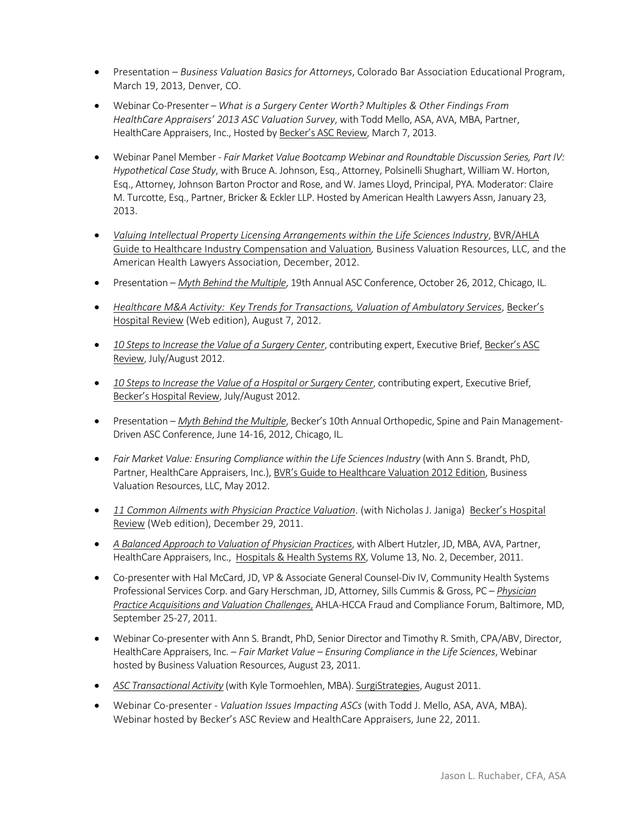- Presentation *Business Valuation Basics for Attorneys*, Colorado Bar Association Educational Program, March 19, 2013, Denver, CO.
- Webinar Co-Presenter *What is a Surgery Center Worth? Multiples & Other Findings From HealthCare Appraisers' 2013 ASC Valuation Survey*, with Todd Mello, ASA, AVA, MBA, Partner, HealthCare Appraisers, Inc., Hosted by Becker's ASC Review, March 7, 2013.
- Webinar Panel Member *Fair Market Value Bootcamp Webinar and Roundtable Discussion Series, Part IV: Hypothetical Case Study*, with Bruce A. Johnson, Esq., Attorney, Polsinelli Shughart, William W. Horton, Esq., Attorney, Johnson Barton Proctor and Rose, and W. James Lloyd, Principal, PYA. Moderator: Claire M. Turcotte, Esq., Partner, Bricker & Eckler LLP. Hosted by American Health Lawyers Assn, January 23, 2013.
- *[Valuing Intellectual Property Licensing Arrangements within the Life Sciences Industry](http://www.bvresources.com/bvstore/book.asp?pid=PUB314)*, BVR/AHLA Guide to Healthcare Industry Compensation and Valuation*,* Business Valuation Resources, LLC, and the American Health Lawyers Association, December, 2012.
- Presentation *[Myth Behind the Multiple](http://www.healthcareappraisers.com/past_bv2.html#presentations_bv)*, 19th Annual ASC Conference, October 26, 2012, Chicago, IL.
- *[Healthcare M&A Activity: Key Trends for Transactions, Valuation of Ambulatory Services](http://www.beckershospitalreview.com/hospital-transactions-and-valuation/healthcare-maa-activity-key-trends-for-transactions-valuation-of-ambulatory-services.html)*, Becker's Hospital Review (Web edition), August 7, 2012.
- *[10 Steps to Increase the Value of a Surgery Center](http://www.healthcareappraisers.com/Publicationpdf/ASC_Review_EB_ASC%20Value_JR_7-12.pdf)*, contributing expert, Executive Brief, Becker's ASC Review, July/August 2012.
- *[10 Steps to Increase the Value of a Hospital or Surgery Center](http://www.healthcareappraisers.com/Publicationpdf/Hosp_Review_EB_ASC%20Value_JR_7-12.pdf)*, contributing expert, Executive Brief, Becker's Hospital Review, July/August 2012.
- Presentation *[Myth Behind the Multiple](http://www.healthcareappraisers.com/presentations/Becker_ASC_Ortho_0612_JR.pdf)*, Becker's 10th Annual Orthopedic, Spine and Pain Management-Driven ASC Conference, June 14-16, 2012, Chicago, IL.
- *Fair Market Value: Ensuring Compliance within the Life Sciences Industry* (with Ann S. Brandt, PhD, Partner, HealthCare Appraisers, Inc.), BVR's Guide to Healthcare Valuation 2012 Edition, Business Valuation Resources, LLC, May 2012.
- *[11 Common Ailments with Physician Practice Valuation](http://www.beckershospitalreview.com/hospital-physician-relationships/11-common-ailments-with-physician-practice-valuation.html)*. (with Nicholas J. Janiga) Becker's Hospital Review (Web edition), December 29, 2011.
- *[A Balanced Approach to Valuation of Physician Practices](http://www.healthcareappraisers.com/Publicationpdf/AHLA-HHS_Phys-Acq_JR-CH_12-11.pdf)*, with Albert Hutzler, JD, MBA, AVA, Partner, HealthCare Appraisers, Inc., Hospitals & Health Systems RX, Volume 13, No. 2, December, 2011.
- Co-presenter with Hal McCard, JD, VP & Associate General Counsel-Div IV, Community Health Systems Professional Services Corp. and Gary Herschman, JD, Attorney, Sills Cummis & Gross, PC – *[Physician](http://www.healthcareappraisers.com/presentations/AHLA-HCCA_Fraud_Compliance2011_JR.pdf)  [Practice Acquisitions and Valuation Challenges](http://www.healthcareappraisers.com/presentations/AHLA-HCCA_Fraud_Compliance2011_JR.pdf)*, AHLA-HCCA Fraud and Compliance Forum, Baltimore, MD, September 25-27, 2011.
- Webinar Co-presenter with Ann S. Brandt, PhD, Senior Director and Timothy R. Smith, CPA/ABV, Director, HealthCare Appraisers, Inc. – *Fair Market Value – Ensuring Compliance in the Life Sciences*, Webinar hosted by Business Valuation Resources, August 23, 2011.
- *[ASC Transactional Activity](http://www.surgistrategies.com/articles/2011/07/asc-transactional-activity.aspx)* (with Kyle Tormoehlen, MBA). SurgiStrategies, August 2011.
- Webinar Co-presenter *Valuation Issues Impacting ASCs* (with Todd J. Mello, ASA, AVA, MBA). Webinar hosted by Becker's ASC Review and HealthCare Appraisers, June 22, 2011.